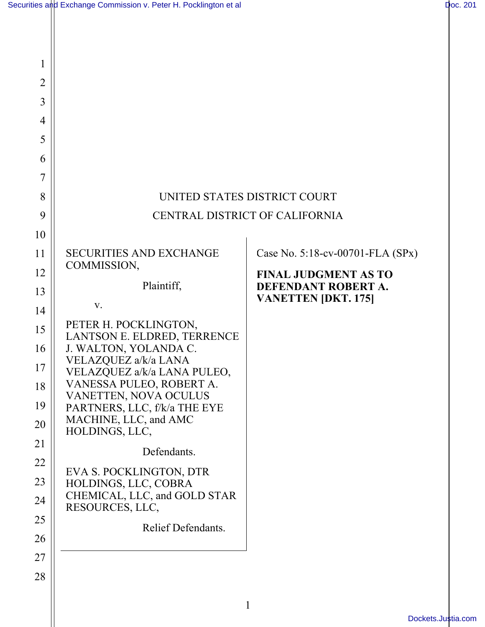Ш

|                                | UNITED STATES DISTRICT COURT                          |                                  |
|--------------------------------|-------------------------------------------------------|----------------------------------|
| CENTRAL DISTRICT OF CALIFORNIA |                                                       |                                  |
|                                |                                                       |                                  |
|                                | <b>SECURITIES AND EXCHANGE</b>                        | Case No. 5:18-cv-00701-FLA (SPx) |
|                                | COMMISSION,                                           | <b>FINAL JUDGMENT AS TO</b>      |
|                                | Plaintiff,                                            | DEFENDANT ROBERT A.              |
|                                | V.                                                    | <b>VANETTEN [DKT. 175]</b>       |
|                                | PETER H. POCKLINGTON,                                 |                                  |
|                                | LANTSON E. ELDRED, TERRENCE<br>J. WALTON, YOLANDA C.  |                                  |
|                                | VELAZQUEZ a/k/a LANA<br>VELAZQUEZ a/k/a LANA PULEO,   |                                  |
|                                | VANESSA PULEO, ROBERT A.                              |                                  |
|                                | VANETTEN, NOVA OCULUS<br>PARTNERS, LLC, f/k/a THE EYE |                                  |
|                                | MACHINE, LLC, and AMC                                 |                                  |
|                                | HOLDINGS, LLC,                                        |                                  |
|                                | Defendants.                                           |                                  |
|                                | EVA S. POCKLINGTON, DTR                               |                                  |
|                                | HOLDINGS, LLC, COBRA<br>CHEMICAL, LLC, and GOLD STAR  |                                  |
|                                | RESOURCES, LLC,                                       |                                  |
|                                |                                                       |                                  |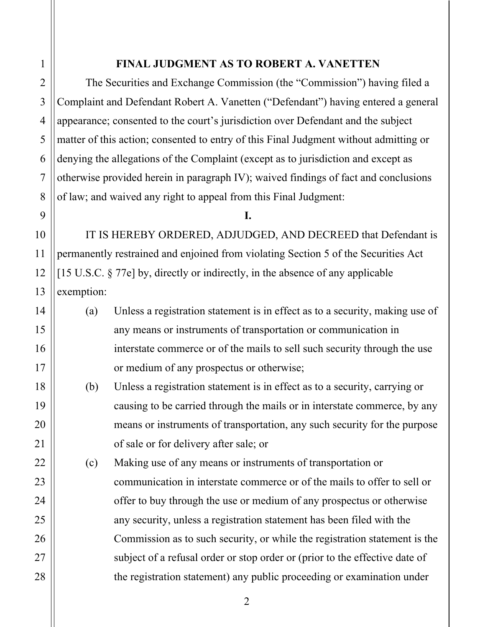### **FINAL JUDGMENT AS TO ROBERT A. VANETTEN**

The Securities and Exchange Commission (the "Commission") having filed a Complaint and Defendant Robert A. Vanetten ("Defendant") having entered a general appearance; consented to the court's jurisdiction over Defendant and the subject matter of this action; consented to entry of this Final Judgment without admitting or denying the allegations of the Complaint (except as to jurisdiction and except as otherwise provided herein in paragraph IV); waived findings of fact and conclusions of law; and waived any right to appeal from this Final Judgment:

#### **I.**

IT IS HEREBY ORDERED, ADJUDGED, AND DECREED that Defendant is permanently restrained and enjoined from violating Section 5 of the Securities Act [15 U.S.C. § 77e] by, directly or indirectly, in the absence of any applicable exemption:

- (a) Unless a registration statement is in effect as to a security, making use of any means or instruments of transportation or communication in interstate commerce or of the mails to sell such security through the use or medium of any prospectus or otherwise;
- (b) Unless a registration statement is in effect as to a security, carrying or causing to be carried through the mails or in interstate commerce, by any means or instruments of transportation, any such security for the purpose of sale or for delivery after sale; or
- (c) Making use of any means or instruments of transportation or communication in interstate commerce or of the mails to offer to sell or offer to buy through the use or medium of any prospectus or otherwise any security, unless a registration statement has been filed with the Commission as to such security, or while the registration statement is the subject of a refusal order or stop order or (prior to the effective date of the registration statement) any public proceeding or examination under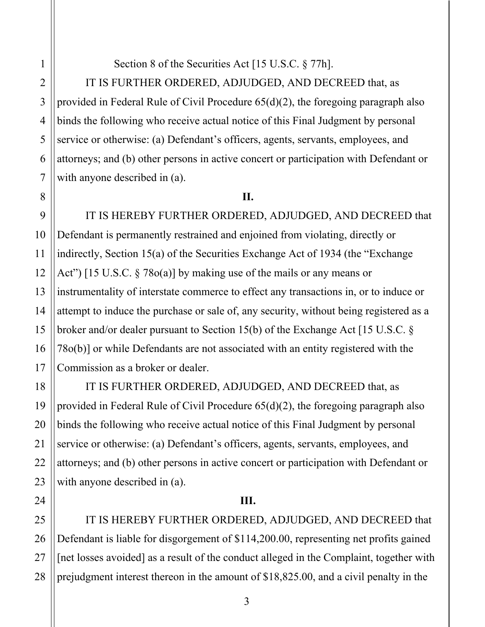# Section 8 of the Securities Act [15 U.S.C. § 77h].

IT IS FURTHER ORDERED, ADJUDGED, AND DECREED that, as provided in Federal Rule of Civil Procedure 65(d)(2), the foregoing paragraph also binds the following who receive actual notice of this Final Judgment by personal service or otherwise: (a) Defendant's officers, agents, servants, employees, and attorneys; and (b) other persons in active concert or participation with Defendant or with anyone described in (a).

## **II.**

IT IS HEREBY FURTHER ORDERED, ADJUDGED, AND DECREED that Defendant is permanently restrained and enjoined from violating, directly or indirectly, Section 15(a) of the Securities Exchange Act of 1934 (the "Exchange Act") [15 U.S.C. § 78o(a)] by making use of the mails or any means or instrumentality of interstate commerce to effect any transactions in, or to induce or attempt to induce the purchase or sale of, any security, without being registered as a broker and/or dealer pursuant to Section 15(b) of the Exchange Act [15 U.S.C. § 78o(b)] or while Defendants are not associated with an entity registered with the Commission as a broker or dealer.

IT IS FURTHER ORDERED, ADJUDGED, AND DECREED that, as provided in Federal Rule of Civil Procedure 65(d)(2), the foregoing paragraph also binds the following who receive actual notice of this Final Judgment by personal service or otherwise: (a) Defendant's officers, agents, servants, employees, and attorneys; and (b) other persons in active concert or participation with Defendant or with anyone described in (a).

## **III.**

IT IS HEREBY FURTHER ORDERED, ADJUDGED, AND DECREED that Defendant is liable for disgorgement of \$114,200.00, representing net profits gained [net losses avoided] as a result of the conduct alleged in the Complaint, together with prejudgment interest thereon in the amount of \$18,825.00, and a civil penalty in the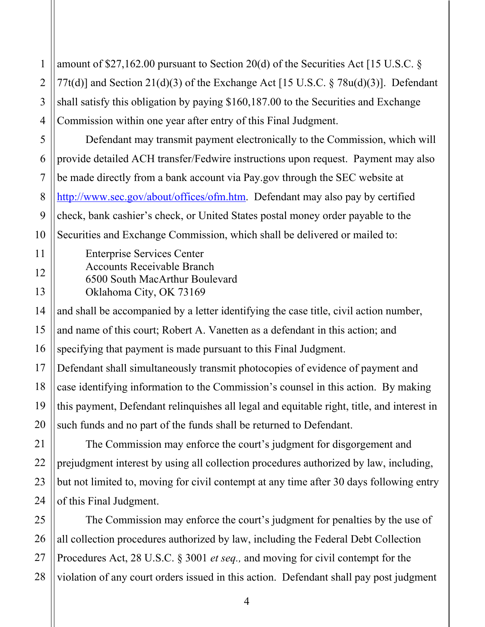amount of \$27,162.00 pursuant to Section 20(d) of the Securities Act [15 U.S.C. § 77t(d)] and Section 21(d)(3) of the Exchange Act [15 U.S.C. § 78u(d)(3)]. Defendant shall satisfy this obligation by paying \$160,187.00 to the Securities and Exchange Commission within one year after entry of this Final Judgment.

Defendant may transmit payment electronically to the Commission, which will provide detailed ACH transfer/Fedwire instructions upon request. Payment may also be made directly from a bank account via Pay.gov through the SEC website at http://www.sec.gov/about/offices/ofm.htm. Defendant may also pay by certified check, bank cashier's check, or United States postal money order payable to the Securities and Exchange Commission, which shall be delivered or mailed to:

Enterprise Services Center Accounts Receivable Branch 6500 South MacArthur Boulevard Oklahoma City, OK 73169

and shall be accompanied by a letter identifying the case title, civil action number, and name of this court; Robert A. Vanetten as a defendant in this action; and specifying that payment is made pursuant to this Final Judgment.

Defendant shall simultaneously transmit photocopies of evidence of payment and case identifying information to the Commission's counsel in this action. By making this payment, Defendant relinquishes all legal and equitable right, title, and interest in such funds and no part of the funds shall be returned to Defendant.

The Commission may enforce the court's judgment for disgorgement and prejudgment interest by using all collection procedures authorized by law, including, but not limited to, moving for civil contempt at any time after 30 days following entry of this Final Judgment.

The Commission may enforce the court's judgment for penalties by the use of all collection procedures authorized by law, including the Federal Debt Collection Procedures Act, 28 U.S.C. § 3001 *et seq.,* and moving for civil contempt for the violation of any court orders issued in this action. Defendant shall pay post judgment

1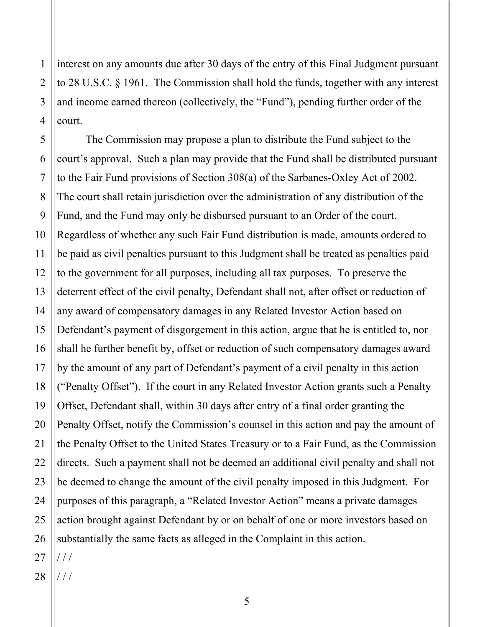interest on any amounts due after 30 days of the entry of this Final Judgment pursuant to 28 U.S.C. § 1961. The Commission shall hold the funds, together with any interest and income earned thereon (collectively, the "Fund"), pending further order of the court.

The Commission may propose a plan to distribute the Fund subject to the court's approval. Such a plan may provide that the Fund shall be distributed pursuant to the Fair Fund provisions of Section 308(a) of the Sarbanes-Oxley Act of 2002. The court shall retain jurisdiction over the administration of any distribution of the Fund, and the Fund may only be disbursed pursuant to an Order of the court. Regardless of whether any such Fair Fund distribution is made, amounts ordered to be paid as civil penalties pursuant to this Judgment shall be treated as penalties paid to the government for all purposes, including all tax purposes. To preserve the deterrent effect of the civil penalty, Defendant shall not, after offset or reduction of any award of compensatory damages in any Related Investor Action based on Defendant's payment of disgorgement in this action, argue that he is entitled to, nor shall he further benefit by, offset or reduction of such compensatory damages award by the amount of any part of Defendant's payment of a civil penalty in this action ("Penalty Offset"). If the court in any Related Investor Action grants such a Penalty Offset, Defendant shall, within 30 days after entry of a final order granting the Penalty Offset, notify the Commission's counsel in this action and pay the amount of the Penalty Offset to the United States Treasury or to a Fair Fund, as the Commission directs. Such a payment shall not be deemed an additional civil penalty and shall not be deemed to change the amount of the civil penalty imposed in this Judgment. For purposes of this paragraph, a "Related Investor Action" means a private damages action brought against Defendant by or on behalf of one or more investors based on substantially the same facts as alleged in the Complaint in this action.

/ / /

 $/$   $/$